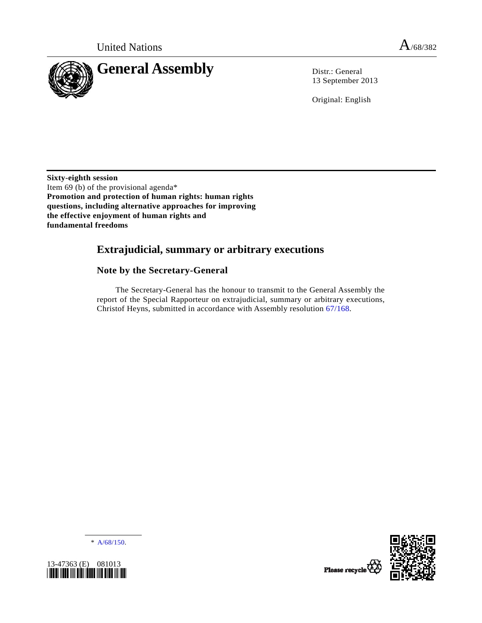

13 September 2013

Original: English

**Sixty-eighth session**  Item 69 (b) of the provisional agenda\* **Promotion and protection of human rights: human rights questions, including alternative approaches for improving the effective enjoyment of human rights and fundamental freedoms** 

# **Extrajudicial, summary or arbitrary executions**

# **Note by the Secretary-General**

 The Secretary-General has the honour to transmit to the General Assembly the report of the Special Rapporteur on extrajudicial, summary or arbitrary executions, Christof Heyns, submitted in accordance with Assembly resolution [67/168](http://undocs.org/A/RES/67/168).

\* [A/68/150](http://undocs.org/A/68/150).



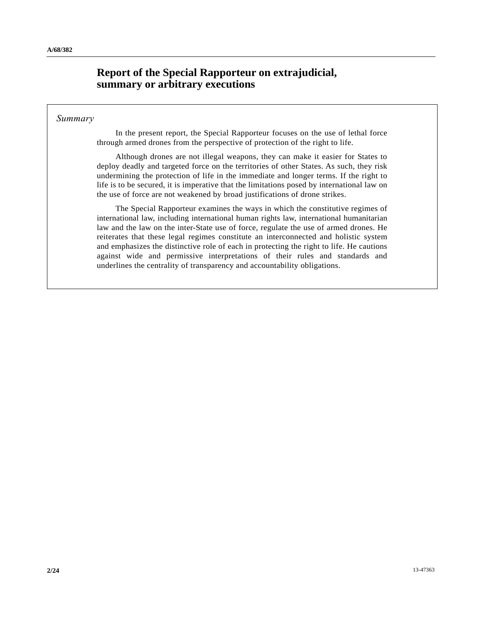# **Report of the Special Rapporteur on extrajudicial, summary or arbitrary executions**

## *Summary*

 In the present report, the Special Rapporteur focuses on the use of lethal force through armed drones from the perspective of protection of the right to life.

 Although drones are not illegal weapons, they can make it easier for States to deploy deadly and targeted force on the territories of other States. As such, they risk undermining the protection of life in the immediate and longer terms. If the right to life is to be secured, it is imperative that the limitations posed by international law on the use of force are not weakened by broad justifications of drone strikes.

 The Special Rapporteur examines the ways in which the constitutive regimes of international law, including international human rights law, international humanitarian law and the law on the inter-State use of force, regulate the use of armed drones. He reiterates that these legal regimes constitute an interconnected and holistic system and emphasizes the distinctive role of each in protecting the right to life. He cautions against wide and permissive interpretations of their rules and standards and underlines the centrality of transparency and accountability obligations.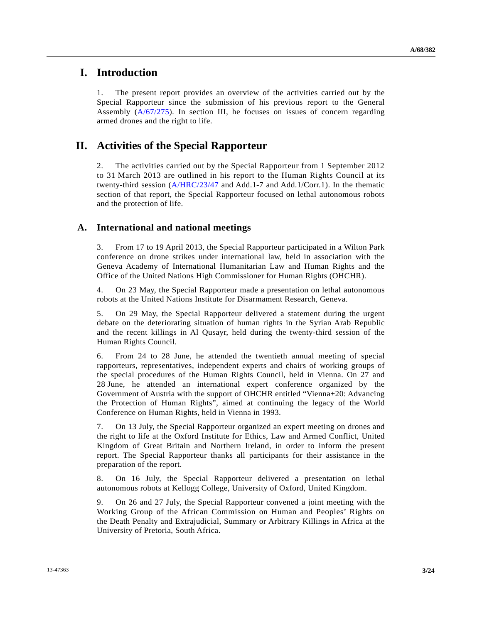# **I. Introduction**

1. The present report provides an overview of the activities carried out by the Special Rapporteur since the submission of his previous report to the General Assembly  $(A/67/275)$  $(A/67/275)$  $(A/67/275)$ . In section III, he focuses on issues of concern regarding armed drones and the right to life.

# **II. Activities of the Special Rapporteur**

2. The activities carried out by the Special Rapporteur from 1 September 2012 to 31 March 2013 are outlined in his report to the Human Rights Council at its twenty-third session ([A/HRC/23/47](http://undocs.org/A/HRC/23/47) and Add.1-7 and Add.1/Corr.1). In the thematic section of that report, the Special Rapporteur focused on lethal autonomous robots and the protection of life.

# **A. International and national meetings**

3. From 17 to 19 April 2013, the Special Rapporteur participated in a Wilton Park conference on drone strikes under international law, held in association with the Geneva Academy of International Humanitarian Law and Human Rights and the Office of the United Nations High Commissioner for Human Rights (OHCHR).

4. On 23 May, the Special Rapporteur made a presentation on lethal autonomous robots at the United Nations Institute for Disarmament Research, Geneva.

5. On 29 May, the Special Rapporteur delivered a statement during the urgent debate on the deteriorating situation of human rights in the Syrian Arab Republic and the recent killings in Al Qusayr, held during the twenty-third session of the Human Rights Council.

6. From 24 to 28 June, he attended the twentieth annual meeting of special rapporteurs, representatives, independent experts and chairs of working groups of the special procedures of the Human Rights Council, held in Vienna. On 27 and 28 June, he attended an international expert conference organized by the Government of Austria with the support of OHCHR entitled "Vienna+20: Advancing the Protection of Human Rights", aimed at continuing the legacy of the World Conference on Human Rights, held in Vienna in 1993.

7. On 13 July, the Special Rapporteur organized an expert meeting on drones and the right to life at the Oxford Institute for Ethics, Law and Armed Conflict, United Kingdom of Great Britain and Northern Ireland, in order to inform the present report. The Special Rapporteur thanks all participants for their assistance in the preparation of the report.

8. On 16 July, the Special Rapporteur delivered a presentation on lethal autonomous robots at Kellogg College, University of Oxford, United Kingdom.

9. On 26 and 27 July, the Special Rapporteur convened a joint meeting with the Working Group of the African Commission on Human and Peoples' Rights on the Death Penalty and Extrajudicial, Summary or Arbitrary Killings in Africa at the University of Pretoria, South Africa.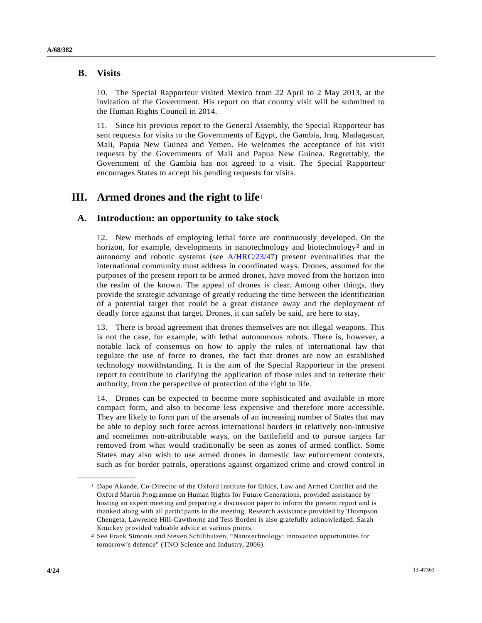## **B. Visits**

10. The Special Rapporteur visited Mexico from 22 April to 2 May 2013, at the invitation of the Government. His report on that country visit will be submitted to the Human Rights Council in 2014.

11. Since his previous report to the General Assembly, the Special Rapporteur has sent requests for visits to the Governments of Egypt, the Gambia, Iraq, Madagascar, Mali, Papua New Guinea and Yemen. He welcomes the acceptance of his visit requests by the Governments of Mali and Papua New Guinea. Regrettably, the Government of the Gambia has not agreed to a visit. The Special Rapporteur encourages States to accept his pending requests for visits.

# **III. Armed drones and the right to life**[1](#page-3-0)

# **A. Introduction: an opportunity to take stock**

12. New methods of employing lethal force are continuously developed. On the horizon, for example, developments in nanotechnology and biotechnology<sup>2</sup> and in autonomy and robotic systems (see [A/HRC/23/47](http://undocs.org/A/HRC/23/47)) present eventualities that the international community must address in coordinated ways. Drones, assumed for the purposes of the present report to be armed drones, have moved from the horizon into the realm of the known. The appeal of drones is clear. Among other things, they provide the strategic advantage of greatly reducing the time between the identification of a potential target that could be a great distance away and the deployment of deadly force against that target. Drones, it can safely be said, are here to stay.

13. There is broad agreement that drones themselves are not illegal weapons. This is not the case, for example, with lethal autonomous robots. There is, however, a notable lack of consensus on how to apply the rules of international law that regulate the use of force to drones, the fact that drones are now an established technology notwithstanding. It is the aim of the Special Rapporteur in the present report to contribute to clarifying the application of those rules and to reiterate their authority, from the perspective of protection of the right to life.

14. Drones can be expected to become more sophisticated and available in more compact form, and also to become less expensive and therefore more accessible. They are likely to form part of the arsenals of an increasing number of States that may be able to deploy such force across international borders in relatively non-intrusive and sometimes non-attributable ways, on the battlefield and to pursue targets far removed from what would traditionally be seen as zones of armed conflict. Some States may also wish to use armed drones in domestic law enforcement contexts, such as for border patrols, operations against organized crime and crowd control in

<span id="page-3-0"></span><sup>1</sup> Dapo Akande, Co-Director of the Oxford Institute for Ethics, Law and Armed Conflict and the Oxford Martin Programme on Human Rights for Future Generations, provided assistance by hosting an expert meeting and preparing a discussion paper to inform the present report and is thanked along with all participants in the meeting. Research assistance provided by Thompson Chengeta, Lawrence Hill-Cawthorne and Tess Borden is also gratefully acknowledged. Sarah Knuckey provided valuable advice at various points.

<span id="page-3-1"></span><sup>2</sup> See Frank Simonis and Steven Schilthuizen, "Nanotechnology: innovation opportunities for tomorrow's defence" (TNO Science and Industry, 2006).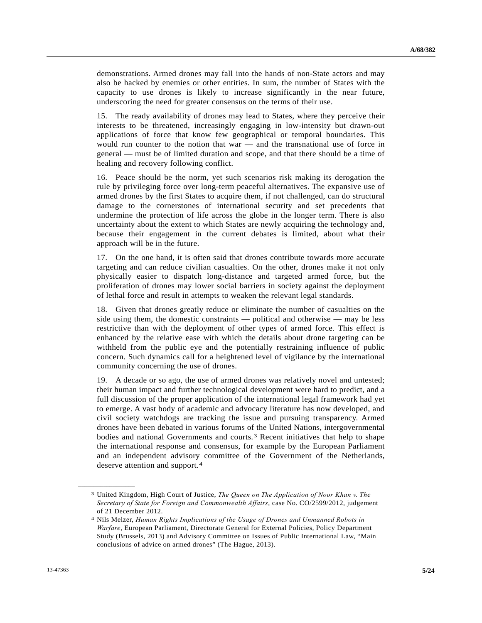demonstrations. Armed drones may fall into the hands of non-State actors and may also be hacked by enemies or other entities. In sum, the number of States with the capacity to use drones is likely to increase significantly in the near future, underscoring the need for greater consensus on the terms of their use.

15. The ready availability of drones may lead to States, where they perceive their interests to be threatened, increasingly engaging in low-intensity but drawn-out applications of force that know few geographical or temporal boundaries. This would run counter to the notion that war — and the transnational use of force in general — must be of limited duration and scope, and that there should be a time of healing and recovery following conflict.

16. Peace should be the norm, yet such scenarios risk making its derogation the rule by privileging force over long-term peaceful alternatives. The expansive use of armed drones by the first States to acquire them, if not challenged, can do structural damage to the cornerstones of international security and set precedents that undermine the protection of life across the globe in the longer term. There is also uncertainty about the extent to which States are newly acquiring the technology and, because their engagement in the current debates is limited, about what their approach will be in the future.

17. On the one hand, it is often said that drones contribute towards more accurate targeting and can reduce civilian casualties. On the other, drones make it not only physically easier to dispatch long-distance and targeted armed force, but the proliferation of drones may lower social barriers in society against the deployment of lethal force and result in attempts to weaken the relevant legal standards.

18. Given that drones greatly reduce or eliminate the number of casualties on the side using them, the domestic constraints — political and otherwise — may be less restrictive than with the deployment of other types of armed force. This effect is enhanced by the relative ease with which the details about drone targeting can be withheld from the public eye and the potentially restraining influence of public concern. Such dynamics call for a heightened level of vigilance by the international community concerning the use of drones.

19. A decade or so ago, the use of armed drones was relatively novel and untested; their human impact and further technological development were hard to predict, and a full discussion of the proper application of the international legal framework had yet to emerge. A vast body of academic and advocacy literature has now developed, and civil society watchdogs are tracking the issue and pursuing transparency. Armed drones have been debated in various forums of the United Nations, intergovernmental bodies and national Governments and courts.[3](#page-4-0) Recent initiatives that help to shape the international response and consensus, for example by the European Parliament and an independent advisory committee of the Government of the Netherlands, deserve attention and support.[4](#page-4-1)

<span id="page-4-0"></span><sup>3</sup> United Kingdom, High Court of Justice, *The Queen on The Application of Noor Khan v. The Secretary of State for Foreign and Commonwealth Affairs*, case No. CO/2599/2012, judgement of 21 December 2012.

<span id="page-4-1"></span><sup>4</sup> Nils Melzer, *Human Rights Implications of the Usage of Drones and Unmanned Robots in Warfare*, European Parliament, Directorate General for External Policies, Policy Department Study (Brussels, 2013) and Advisory Committee on Issues of Public International Law, "Main conclusions of advice on armed drones" (The Hague, 2013).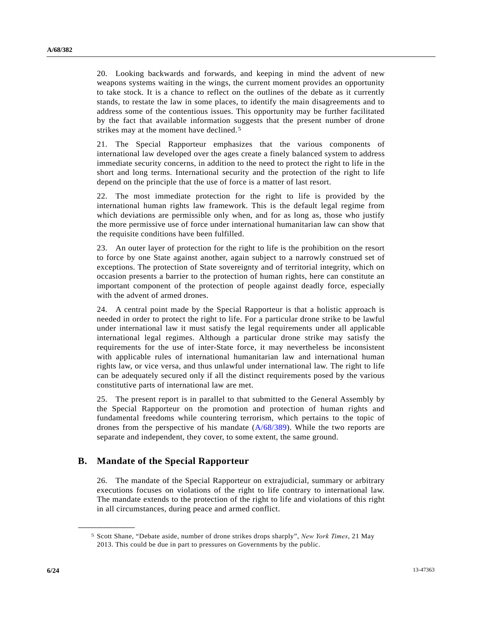20. Looking backwards and forwards, and keeping in mind the advent of new weapons systems waiting in the wings, the current moment provides an opportunity to take stock. It is a chance to reflect on the outlines of the debate as it currently stands, to restate the law in some places, to identify the main disagreements and to address some of the contentious issues. This opportunity may be further facilitated by the fact that available information suggests that the present number of drone strikes may at the moment have declined.[5](#page-5-0)

21. The Special Rapporteur emphasizes that the various components of international law developed over the ages create a finely balanced system to address immediate security concerns, in addition to the need to protect the right to life in the short and long terms. International security and the protection of the right to life depend on the principle that the use of force is a matter of last resort.

22. The most immediate protection for the right to life is provided by the international human rights law framework. This is the default legal regime from which deviations are permissible only when, and for as long as, those who justify the more permissive use of force under international humanitarian law can show that the requisite conditions have been fulfilled.

23. An outer layer of protection for the right to life is the prohibition on the resort to force by one State against another, again subject to a narrowly construed set of exceptions. The protection of State sovereignty and of territorial integrity, which on occasion presents a barrier to the protection of human rights, here can constitute an important component of the protection of people against deadly force, especially with the advent of armed drones.

24. A central point made by the Special Rapporteur is that a holistic approach is needed in order to protect the right to life. For a particular drone strike to be lawful under international law it must satisfy the legal requirements under all applicable international legal regimes. Although a particular drone strike may satisfy the requirements for the use of inter-State force, it may nevertheless be inconsistent with applicable rules of international humanitarian law and international human rights law, or vice versa, and thus unlawful under international law. The right to life can be adequately secured only if all the distinct requirements posed by the various constitutive parts of international law are met.

25. The present report is in parallel to that submitted to the General Assembly by the Special Rapporteur on the promotion and protection of human rights and fundamental freedoms while countering terrorism, which pertains to the topic of drones from the perspective of his mandate ([A/68/389](http://undocs.org/A/68/389)). While the two reports are separate and independent, they cover, to some extent, the same ground.

## **B. Mandate of the Special Rapporteur**

26. The mandate of the Special Rapporteur on extrajudicial, summary or arbitrary executions focuses on violations of the right to life contrary to international law. The mandate extends to the protection of the right to life and violations of this right in all circumstances, during peace and armed conflict.

<span id="page-5-0"></span><sup>5</sup> Scott Shane, "Debate aside, number of drone strikes drops sharply", *New York Times*, 21 May 2013. This could be due in part to pressures on Governments by the public.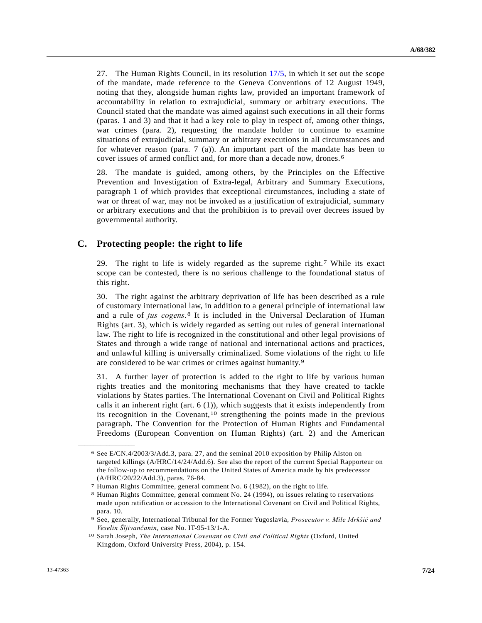27. The Human Rights Council, in its resolution [17/5](http://undocs.org/A/RES/17/5), in which it set out the scope of the mandate, made reference to the Geneva Conventions of 12 August 1949, noting that they, alongside human rights law, provided an important framework of accountability in relation to extrajudicial, summary or arbitrary executions. The Council stated that the mandate was aimed against such executions in all their forms (paras. 1 and 3) and that it had a key role to play in respect of, among other things, war crimes (para. 2), requesting the mandate holder to continue to examine situations of extrajudicial, summary or arbitrary executions in all circumstances and for whatever reason (para. 7 (a)). An important part of the mandate has been to cover issues of armed conflict and, for more than a decade now, drones.[6](#page-6-0)

28. The mandate is guided, among others, by the Principles on the Effective Prevention and Investigation of Extra-legal, Arbitrary and Summary Executions, paragraph 1 of which provides that exceptional circumstances, including a state of war or threat of war, may not be invoked as a justification of extrajudicial, summary or arbitrary executions and that the prohibition is to prevail over decrees issued by governmental authority.

## **C. Protecting people: the right to life**

29. The right to life is widely regarded as the supreme right.[7](#page-6-1) While its exact scope can be contested, there is no serious challenge to the foundational status of this right.

30. The right against the arbitrary deprivation of life has been described as a rule of customary international law, in addition to a general principle of international law and a rule of *jus cogens*.[8](#page-6-2) It is included in the Universal Declaration of Human Rights (art. 3), which is widely regarded as setting out rules of general international law. The right to life is recognized in the constitutional and other legal provisions of States and through a wide range of national and international actions and practices, and unlawful killing is universally criminalized. Some violations of the right to life are considered to be war crimes or crimes against humanity.[9](#page-6-3)

31. A further layer of protection is added to the right to life by various human rights treaties and the monitoring mechanisms that they have created to tackle violations by States parties. The International Covenant on Civil and Political Rights calls it an inherent right (art.  $6$  (1)), which suggests that it exists independently from its recognition in the Covenant,  $10$  strengthening the points made in the previous paragraph. The Convention for the Protection of Human Rights and Fundamental Freedoms (European Convention on Human Rights) (art. 2) and the American

<span id="page-6-0"></span><sup>6</sup> See E/CN.4/2003/3/Add.3, para. 27, and the seminal 2010 exposition by Philip Alston on targeted killings (A/HRC/14/24/Add.6). See also the report of the current Special Rapporteur on the follow-up to recommendations on the United States of America made by his predecessor (A/HRC/20/22/Add.3), paras. 76-84.

<sup>7</sup> Human Rights Committee, general comment No. 6 (1982), on the right to life.

<span id="page-6-2"></span><span id="page-6-1"></span><sup>8</sup> Human Rights Committee, general comment No. 24 (1994), on issues relating to reservations made upon ratification or accession to the International Covenant on Civil and Political Rights, para. 10.

<span id="page-6-3"></span><sup>9</sup> See, generally, International Tribunal for the Former Yugoslavia, *Prosecutor v. Mile Mrkšić and Veselin Šljivančanin*, case No. IT-95-13/1-A. 10 Sarah Joseph, *The International Covenant on Civil and Political Rights* (Oxford, United

<span id="page-6-4"></span>Kingdom, Oxford University Press, 2004), p. 154.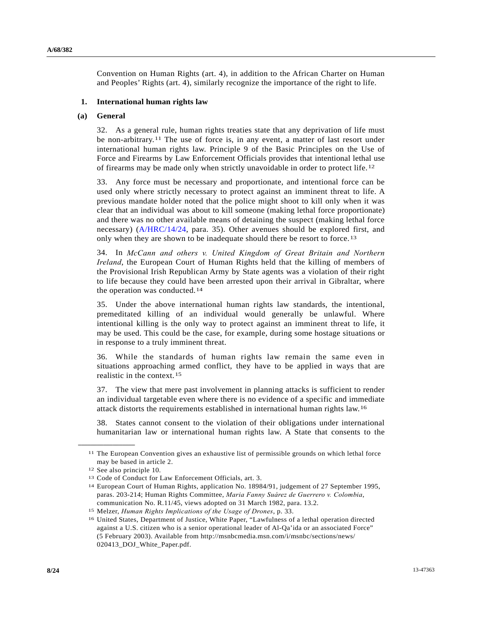Convention on Human Rights (art. 4), in addition to the African Charter on Human and Peoples' Rights (art. 4), similarly recognize the importance of the right to life.

#### **1. International human rights law**

#### **(a) General**

32. As a general rule, human rights treaties state that any deprivation of life must be non-arbitrary.[11](#page-7-0) The use of force is, in any event, a matter of last resort under international human rights law. Principle 9 of the Basic Principles on the Use of Force and Firearms by Law Enforcement Officials provides that intentional lethal use of firearms may be made only when strictly unavoidable in order to protect life.[12](#page-7-1)

33. Any force must be necessary and proportionate, and intentional force can be used only where strictly necessary to protect against an imminent threat to life. A previous mandate holder noted that the police might shoot to kill only when it was clear that an individual was about to kill someone (making lethal force proportionate) and there was no other available means of detaining the suspect (making lethal force necessary) ([A/HRC/14/24,](http://undocs.org/A/HRC/14/24) para. 35). Other avenues should be explored first, and only when they are shown to be inadequate should there be resort to force.[1](#page-7-2)3

34. In *McCann and others v. United Kingdom of Great Britain and Northern Ireland*, the European Court of Human Rights held that the killing of members of the Provisional Irish Republican Army by State agents was a violation of their right to life because they could have been arrested upon their arrival in Gibraltar, where the operation was conducted.[1](#page-7-3)4

35. Under the above international human rights law standards, the intentional, premeditated killing of an individual would generally be unlawful. Where intentional killing is the only way to protect against an imminent threat to life, it may be used. This could be the case, for example, during some hostage situations or in response to a truly imminent threat.

36. While the standards of human rights law remain the same even in situations approaching armed conflict, they have to be applied in ways that are realistic in the context.[15](#page-7-4)

37. The view that mere past involvement in planning attacks is sufficient to render an individual targetable even where there is no evidence of a specific and immediate attack distorts the requirements established in international human rights law.[16](#page-7-5)

38. States cannot consent to the violation of their obligations under international humanitarian law or international human rights law. A State that consents to the

<span id="page-7-0"></span><sup>11</sup> The European Convention gives an exhaustive list of permissible grounds on which lethal force may be based in article 2.

<span id="page-7-1"></span><sup>12</sup> See also principle 10.

<span id="page-7-3"></span><span id="page-7-2"></span><sup>&</sup>lt;sup>13</sup> Code of Conduct for Law Enforcement Officials, art. 3.<br><sup>14</sup> European Court of Human Rights, application No. 18984/91, judgement of 27 September 1995, paras. 203-214; Human Rights Committee, *Maria Fanny Suárez de Guerrero v. Colombia*, communication No. R.11/45, views adopted on 31 March 1982, para. 13.2.

<span id="page-7-5"></span><span id="page-7-4"></span><sup>&</sup>lt;sup>15</sup> Melzer, *Human Rights Implications of the Usage of Drones*, p. 33.<br><sup>16</sup> United States, Department of Justice, White Paper, "Lawfulness of a lethal operation directed against a U.S. citizen who is a senior operational leader of Al-Qa'ida or an associated Force" (5 February 2003). Available from http://msnbcmedia.msn.com/i/msnbc/sections/news/ 020413\_DOJ\_White\_Paper.pdf.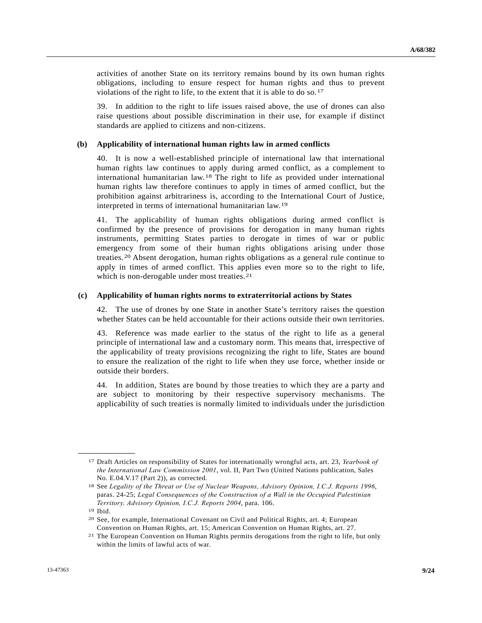activities of another State on its territory remains bound by its own human rights obligations, including to ensure respect for human rights and thus to prevent violations of the right to life, to the extent that it is able to do so.[1](#page-8-0)7

39. In addition to the right to life issues raised above, the use of drones can also raise questions about possible discrimination in their use, for example if distinct standards are applied to citizens and non-citizens.

#### **(b) Applicability of international human rights law in armed conflicts**

40. It is now a well-established principle of international law that international human rights law continues to apply during armed conflict, as a complement to international humanitarian law.[1](#page-8-1)8 The right to life as provided under international human rights law therefore continues to apply in times of armed conflict, but the prohibition against arbitrariness is, according to the International Court of Justice, interpreted in terms of international humanitarian law.[1](#page-8-2)9

41. The applicability of human rights obligations during armed conflict is confirmed by the presence of provisions for derogation in many human rights instruments, permitting States parties to derogate in times of war or public emergency from some of their human rights obligations arising under those treaties.[20](#page-8-3) Absent derogation, human rights obligations as a general rule continue to apply in times of armed conflict. This applies even more so to the right to life, which is non-derogable under most treaties.<sup>[2](#page-8-4)1</sup>

#### **(c) Applicability of human rights norms to extraterritorial actions by States**

42. The use of drones by one State in another State's territory raises the question whether States can be held accountable for their actions outside their own territories.

43. Reference was made earlier to the status of the right to life as a general principle of international law and a customary norm. This means that, irrespective of the applicability of treaty provisions recognizing the right to life, States are bound to ensure the realization of the right to life when they use force, whether inside or outside their borders.

44. In addition, States are bound by those treaties to which they are a party and are subject to monitoring by their respective supervisory mechanisms. The applicability of such treaties is normally limited to individuals under the jurisdiction

<span id="page-8-0"></span><sup>17</sup> Draft Articles on responsibility of States for internationally wrongful acts, art. 23, *Yearbook of the International Law Commission 2001*, vol. II, Part Two (United Nations publication, Sales No. E.04.V.17 (Part 2)), as corrected.

<span id="page-8-1"></span><sup>18</sup> See *Legality of the Threat or Use of Nuclear Weapons, Advisory Opinion, I.C.J. Reports 1996*, paras. 24-25; *Legal Consequences of the Construction of a Wall in the Occupied Palestinian Territory, Advisory Opinion, I.C.J. Reports 2004*, para. 106. 19 Ibid.

<span id="page-8-3"></span><span id="page-8-2"></span><sup>20</sup> See, for example, International Covenant on Civil and Political Rights, art. 4; European Convention on Human Rights, art. 15; American Convention on Human Rights, art. 27.

<span id="page-8-4"></span><sup>21</sup> The European Convention on Human Rights permits derogations from the right to life, but only within the limits of lawful acts of war.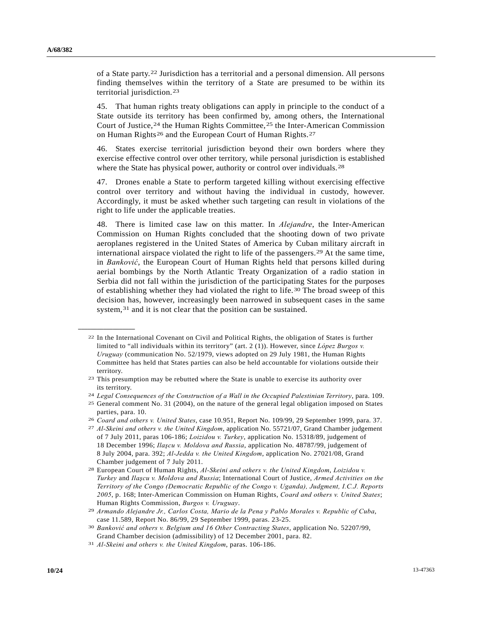of a State party.[22](#page-9-0) Jurisdiction has a territorial and a personal dimension. All persons finding themselves within the territory of a State are presumed to be within its territorial jurisdiction.[23](#page-9-1)

45. That human rights treaty obligations can apply in principle to the conduct of a State outside its territory has been confirmed by, among others, the International Court of Justice,<sup>[2](#page-9-3)4</sup> the Human Rights Committee,<sup>25</sup> the Inter-American Commission on Human Rights<sup>[2](#page-9-4)6</sup> and the European Court of Human Rights.<sup>[27](#page-9-5)</sup>

46. States exercise territorial jurisdiction beyond their own borders where they exercise effective control over other territory, while personal jurisdiction is established where the State has physical power, authority or control over individuals.<sup>[28](#page-9-6)</sup>

47. Drones enable a State to perform targeted killing without exercising effective control over territory and without having the individual in custody, however. Accordingly, it must be asked whether such targeting can result in violations of the right to life under the applicable treaties.

48. There is limited case law on this matter. In *Alejandre*, the Inter-American Commission on Human Rights concluded that the shooting down of two private aeroplanes registered in the United States of America by Cuban military aircraft in international airspace violated the right to life of the passengers.<sup>[2](#page-9-7)9</sup> At the same time, in *Banković*, the European Court of Human Rights held that persons killed during aerial bombings by the North Atlantic Treaty Organization of a radio station in Serbia did not fall within the jurisdiction of the participating States for the purposes of establishing whether they had violated the right to life.[30](#page-9-8) The broad sweep of this decision has, however, increasingly been narrowed in subsequent cases in the same system,<sup>[3](#page-9-9)1</sup> and it is not clear that the position can be sustained.

<span id="page-9-0"></span><sup>22</sup> In the International Covenant on Civil and Political Rights, the obligation of States is further limited to "all individuals within its territory" (art. 2 (1)). However, since *López Burgos v. Uruguay* (communication No. 52/1979, views adopted on 29 July 1981, the Human Rights Committee has held that States parties can also be held accountable for violations outside their territory.

<span id="page-9-1"></span><sup>23</sup> This presumption may be rebutted where the State is unable to exercise its authority over its territory.

<span id="page-9-3"></span><span id="page-9-2"></span><sup>24</sup>*Legal Consequences of the Construction of a Wall in the Occupied Palestinian Territory*, para. 109. 25 General comment No. 31 (2004), on the nature of the general legal obligation imposed on States parties, para. 10.

<span id="page-9-5"></span><span id="page-9-4"></span><sup>26</sup>*Coard and others v. United States*, case 10.951, Report No. 109/99, 29 September 1999, para. 37. 27 *Al-Skeini and others v. the United Kingdom*, application No. 55721/07, Grand Chamber judgement

of 7 July 2011, paras 106-186; *Loizidou v. Turkey*, application No. 15318/89, judgement of 18 December 1996; *Ilaşcu v. Moldova and Russia*, application No. 48787/99, judgement of 8 July 2004, para. 392; *Al-Jedda v. the United Kingdom*, application No. 27021/08, Grand Chamber judgement of 7 July 2011.

<span id="page-9-6"></span><sup>28</sup> European Court of Human Rights, *Al-Skeini and others v. the United Kingdom*, *Loizidou v. Turkey* and *Ilaşcu v. Moldova and Russia*; International Court of Justice, *Armed Activities on the Territory of the Congo (Democratic Republic of the Congo v. Uganda), Judgment, I.C.J. Reports 2005*, p. 168; Inter-American Commission on Human Rights, *Coard and others v. United States*; Human Rights Commission, *Burgos v. Uruguay*. 29 *Armando Alejandre Jr., Carlos Costa, Mario de la Pena y Pablo Morales v. Republic of Cuba*,

<span id="page-9-7"></span>case 11.589, Report No. 86/99, 29 September 1999, paras. 23-25.

<span id="page-9-8"></span><sup>30</sup> *Banković and others v. Belgium and 16 Other Contracting States*, application No. 52207/99, Grand Chamber decision (admissibility) of 12 December 2001, para. 82.

<span id="page-9-9"></span><sup>31</sup> *Al-Skeini and others v. the United Kingdom*, paras. 106-186.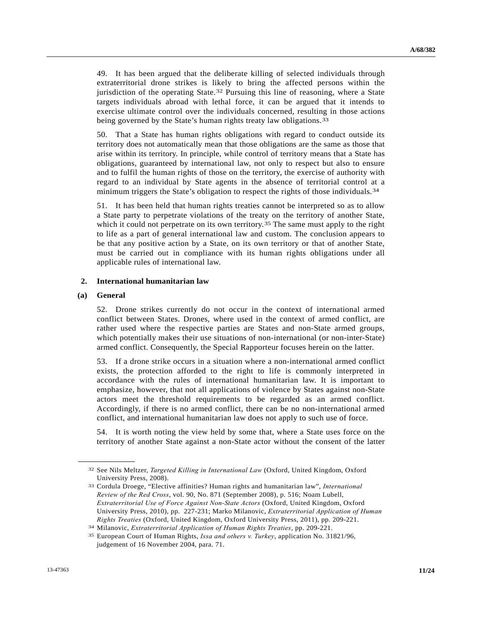49. It has been argued that the deliberate killing of selected individuals through extraterritorial drone strikes is likely to bring the affected persons within the jurisdiction of the operating State.[32](#page-10-0) Pursuing this line of reasoning, where a State targets individuals abroad with lethal force, it can be argued that it intends to exercise ultimate control over the individuals concerned, resulting in those actions being governed by the State's human rights treaty law obligations.<sup>[33](#page-10-1)</sup>

50. That a State has human rights obligations with regard to conduct outside its territory does not automatically mean that those obligations are the same as those that arise within its territory. In principle, while control of territory means that a State has obligations, guaranteed by international law, not only to respect but also to ensure and to fulfil the human rights of those on the territory, the exercise of authority with regard to an individual by State agents in the absence of territorial control at a minimum triggers the State's obligation to respect the rights of those individuals.<sup>[34](#page-10-2)</sup>

51. It has been held that human rights treaties cannot be interpreted so as to allow a State party to perpetrate violations of the treaty on the territory of another State, which it could not perpetrate on its own territory.<sup>[3](#page-10-3)5</sup> The same must apply to the right to life as a part of general international law and custom. The conclusion appears to be that any positive action by a State, on its own territory or that of another State, must be carried out in compliance with its human rights obligations under all applicable rules of international law.

### **2. International humanitarian law**

#### **(a) General**

<span id="page-10-1"></span><span id="page-10-0"></span>**\_\_\_\_\_\_\_\_\_\_\_\_\_\_\_\_\_\_** 

52. Drone strikes currently do not occur in the context of international armed conflict between States. Drones, where used in the context of armed conflict, are rather used where the respective parties are States and non-State armed groups, which potentially makes their use situations of non-international (or non-inter-State) armed conflict. Consequently, the Special Rapporteur focuses herein on the latter.

53. If a drone strike occurs in a situation where a non-international armed conflict exists, the protection afforded to the right to life is commonly interpreted in accordance with the rules of international humanitarian law. It is important to emphasize, however, that not all applications of violence by States against non-State actors meet the threshold requirements to be regarded as an armed conflict. Accordingly, if there is no armed conflict, there can be no non-international armed conflict, and international humanitarian law does not apply to such use of force.

54. It is worth noting the view held by some that, where a State uses force on the territory of another State against a non-State actor without the consent of the latter

<sup>32</sup> See Nils Meltzer, *Targeted Killing in International Law* (Oxford, United Kingdom, Oxford University Press, 2008).

<sup>33</sup> Cordula Droege, "Elective affinities? Human rights and humanitarian law", *International Review of the Red Cross*, vol. 90, No. 871 (September 2008), p. 516; Noam Lubell, *Extraterritorial Use of Force Against Non-State Actors* (Oxford, United Kingdom, Oxford University Press, 2010), pp. 227-231; Marko Milanovic, *Extraterritorial Application of Human Rights Treaties* (Oxford, United Kingdom, Oxford University Press, 2011), pp. 209-221.<br><sup>34</sup> Milanovic, *Extraterritorial Application of Human Rights Treaties*, pp. 209-221.<br><sup>35</sup> European Court of Human Rights, *Issa and o* 

<span id="page-10-3"></span><span id="page-10-2"></span>judgement of 16 November 2004, para. 71.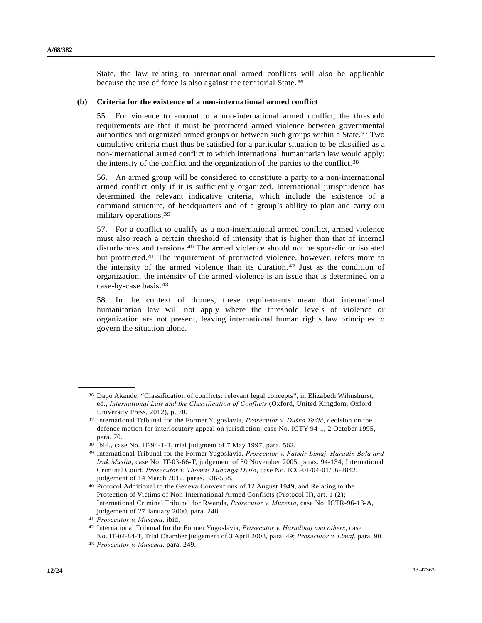State, the law relating to international armed conflicts will also be applicable because the use of force is also against the territorial State.[36](#page-11-0)

#### **(b) Criteria for the existence of a non-international armed conflict**

55. For violence to amount to a non-international armed conflict, the threshold requirements are that it must be protracted armed violence between governmental authorities and organized armed groups or between such groups within a State.[3](#page-11-1)7 Two cumulative criteria must thus be satisfied for a particular situation to be classified as a non-international armed conflict to which international humanitarian law would apply: the intensity of the conflict and the organization of the parties to the conflict.[38](#page-11-2)

56. An armed group will be considered to constitute a party to a non-international armed conflict only if it is sufficiently organized. International jurisprudence has determined the relevant indicative criteria, which include the existence of a command structure, of headquarters and of a group's ability to plan and carry out military operations.[3](#page-11-3)9

57. For a conflict to qualify as a non-international armed conflict, armed violence must also reach a certain threshold of intensity that is higher than that of internal disturbances and tensions.[4](#page-11-4)0 The armed violence should not be sporadic or isolated but protracted.[4](#page-11-5)1 The requirement of protracted violence, however, refers more to the intensity of the armed violence than its duration.[4](#page-11-6)2 Just as the condition of organization, the intensity of the armed violence is an issue that is determined on a case-by-case basis.[43](#page-11-7)

58. In the context of drones, these requirements mean that international humanitarian law will not apply where the threshold levels of violence or organization are not present, leaving international human rights law principles to govern the situation alone.

<span id="page-11-0"></span><sup>36</sup> Dapo Akande, "Classification of conflicts: relevant legal concepts", in Elizabeth Wilmshurst, ed., *International Law and the Classification of Conflicts* (Oxford, United Kingdom, Oxford University Press, 2012), p. 70.

<span id="page-11-1"></span><sup>37</sup> International Tribunal for the Former Yugoslavia, *Prosecutor v. Duško Tadić*, decision on the defence motion for interlocutory appeal on jurisdiction, case No. ICTY-94-1, 2 October 1995, para. 70.

<span id="page-11-3"></span><span id="page-11-2"></span><sup>38</sup> Ibid., case No. IT-94-1-T, trial judgment of 7 May 1997, para. 562. 39 International Tribunal for the Former Yugoslavia, *Prosecutor v. Fatmir Limaj, Haradin Bala and Isak Musliu*, case No. IT-03-66-T, judgement of 30 November 2005, paras. 94-134; International Criminal Court, *Prosecutor v. Thomas Lubanga Dyilo*, case No. ICC-01/04-01/06-2842, judgement of 14 March 2012, paras. 536-538.

<span id="page-11-4"></span><sup>40</sup> Protocol Additional to the Geneva Conventions of 12 August 1949, and Relating to the Protection of Victims of Non-International Armed Conflicts (Protocol II), art. 1 (2); International Criminal Tribunal for Rwanda, *Prosecutor v. Musema*, case No. ICTR-96-13-A, judgement of 27 January 2000, para. 248.

<span id="page-11-6"></span><span id="page-11-5"></span>

<sup>41</sup>*Prosecutor v. Musema*, ibid. 42 International Tribunal for the Former Yugoslavia, *Prosecutor v. Haradinaj and others*, case No. IT-04-84-T, Trial Chamber judgement of 3 April 2008, para. 49; *Prosecutor v. Limaj*, para. 90. 43 *Prosecutor v. Musema*, para. 249.

<span id="page-11-7"></span>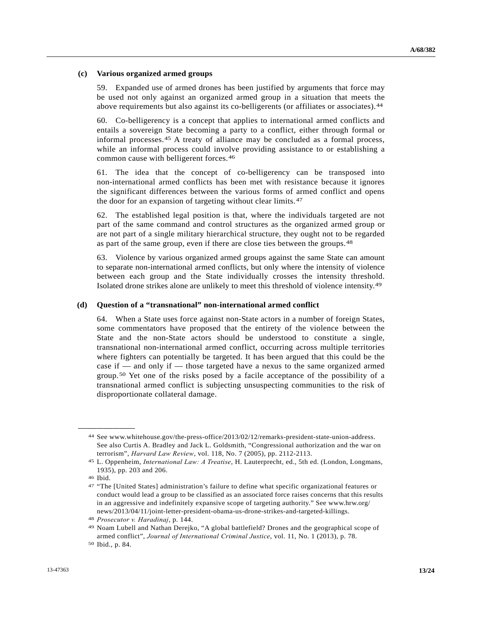### **(c) Various organized armed groups**

59. Expanded use of armed drones has been justified by arguments that force may be used not only against an organized armed group in a situation that meets the above requirements but also against its co-belligerents (or affiliates or associates).[4](#page-12-0)4

60. Co-belligerency is a concept that applies to international armed conflicts and entails a sovereign State becoming a party to a conflict, either through formal or informal processes.[4](#page-12-1)5 A treaty of alliance may be concluded as a formal process, while an informal process could involve providing assistance to or establishing a common cause with belligerent forces.[4](#page-12-2)6

61. The idea that the concept of co-belligerency can be transposed into non-international armed conflicts has been met with resistance because it ignores the significant differences between the various forms of armed conflict and opens the door for an expansion of targeting without clear limits.[4](#page-12-3)7

62. The established legal position is that, where the individuals targeted are not part of the same command and control structures as the organized armed group or are not part of a single military hierarchical structure, they ought not to be regarded as part of the same group, even if there are close ties between the groups.[4](#page-12-4)8

63. Violence by various organized armed groups against the same State can amount to separate non-international armed conflicts, but only where the intensity of violence between each group and the State individually crosses the intensity threshold. Isolated drone strikes alone are unlikely to meet this threshold of violence intensity.[49](#page-12-5)

### **(d) Question of a "transnational" non-international armed conflict**

64. When a State uses force against non-State actors in a number of foreign States, some commentators have proposed that the entirety of the violence between the State and the non-State actors should be understood to constitute a single, transnational non-international armed conflict, occurring across multiple territories where fighters can potentially be targeted. It has been argued that this could be the case if — and only if — those targeted have a nexus to the same organized armed group.[50](#page-12-6) Yet one of the risks posed by a facile acceptance of the possibility of a transnational armed conflict is subjecting unsuspecting communities to the risk of disproportionate collateral damage.

<span id="page-12-0"></span><sup>44</sup> See www.whitehouse.gov/the-press-office/2013/02/12/remarks-president-state-union-address. See also Curtis A. Bradley and Jack L. Goldsmith, "Congressional authorization and the war on

<span id="page-12-1"></span>terrorism", *Harvard Law Review*, vol. 118, No. 7 (2005), pp. 2112-2113. 45 L. Oppenheim, *International Law: A Treatise*, H. Lauterprecht, ed., 5th ed. (London, Longmans, 1935), pp. 203 and 206.

<span id="page-12-2"></span><sup>46</sup> Ibid.

<span id="page-12-3"></span><sup>47 &</sup>quot;The [United States] administration's failure to define what specific organizational features or conduct would lead a group to be classified as an associated force raises concerns that this results in an aggressive and indefinitely expansive scope of targeting authority." See www.hrw.org/ news/2013/04/11/joint-letter-president-obama-us-drone-strikes-and-targeted-killings.

<span id="page-12-5"></span><span id="page-12-4"></span><sup>48</sup> *Prosecutor v. Haradinaj*, p. 144.<br><sup>49</sup> Noam Lubell and Nathan Derejko, "A global battlefield? Drones and the geographical scope of armed conflict", *Journal of International Criminal Justice*, vol. 11, No. 1 (2013), p. 78. 50 Ibid., p. 84.

<span id="page-12-6"></span>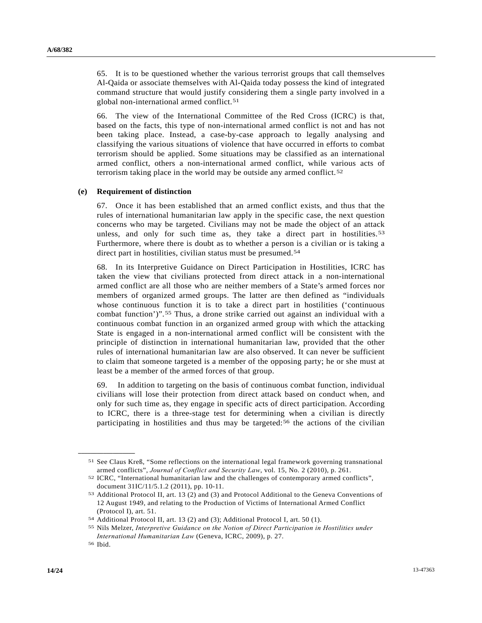65. It is to be questioned whether the various terrorist groups that call themselves Al-Qaida or associate themselves with Al-Qaida today possess the kind of integrated command structure that would justify considering them a single party involved in a global non-international armed conflict.<sup>[51](#page-13-0)</sup>

66. The view of the International Committee of the Red Cross (ICRC) is that, based on the facts, this type of non-international armed conflict is not and has not been taking place. Instead, a case-by-case approach to legally analysing and classifying the various situations of violence that have occurred in efforts to combat terrorism should be applied. Some situations may be classified as an international armed conflict, others a non-international armed conflict, while various acts of terrorism taking place in the world may be outside any armed conflict.<sup>[52](#page-13-1)</sup>

#### **(e) Requirement of distinction**

67. Once it has been established that an armed conflict exists, and thus that the rules of international humanitarian law apply in the specific case, the next question concerns who may be targeted. Civilians may not be made the object of an attack unless, and only for such time as, they take a direct part in hostilities.<sup>[53](#page-13-2)</sup> Furthermore, where there is doubt as to whether a person is a civilian or is taking a direct part in hostilities, civilian status must be presumed.<sup>[5](#page-13-3)4</sup>

68. In its Interpretive Guidance on Direct Participation in Hostilities, ICRC has taken the view that civilians protected from direct attack in a non-international armed conflict are all those who are neither members of a State's armed forces nor members of organized armed groups. The latter are then defined as "individuals whose continuous function it is to take a direct part in hostilities ('continuous combat function')".[55](#page-13-4) Thus, a drone strike carried out against an individual with a continuous combat function in an organized armed group with which the attacking State is engaged in a non-international armed conflict will be consistent with the principle of distinction in international humanitarian law, provided that the other rules of international humanitarian law are also observed. It can never be sufficient to claim that someone targeted is a member of the opposing party; he or she must at least be a member of the armed forces of that group.

69. In addition to targeting on the basis of continuous combat function, individual civilians will lose their protection from direct attack based on conduct when, and only for such time as, they engage in specific acts of direct participation. According to ICRC, there is a three-stage test for determining when a civilian is directly participating in hostilities and thus may be targeted:[56](#page-13-5) the actions of the civilian

<span id="page-13-1"></span><span id="page-13-0"></span><sup>51</sup> See Claus Kreß, "Some reflections on the international legal framework governing transnational armed conflicts", *Journal of Conflict and Security Law*, vol. 15, No. 2 (2010), p. 261.<br><sup>52</sup> ICRC, "International humanitarian law and the challenges of contemporary armed conflicts".

document 31IC/11/5.1.2 (2011), pp. 10-11.

<span id="page-13-2"></span><sup>53</sup> Additional Protocol II, art. 13 (2) and (3) and Protocol Additional to the Geneva Conventions of 12 August 1949, and relating to the Production of Victims of International Armed Conflict (Protocol I), art. 51.

<span id="page-13-4"></span><span id="page-13-3"></span><sup>54</sup> Additional Protocol II, art. 13 (2) and (3); Additional Protocol I, art. 50 (1). 55 Nils Melzer, *Interpretive Guidance on the Notion of Direct Participation in Hostilities under International Humanitarian Law* (Geneva, ICRC, 2009), p. 27. 56 Ibid.

<span id="page-13-5"></span>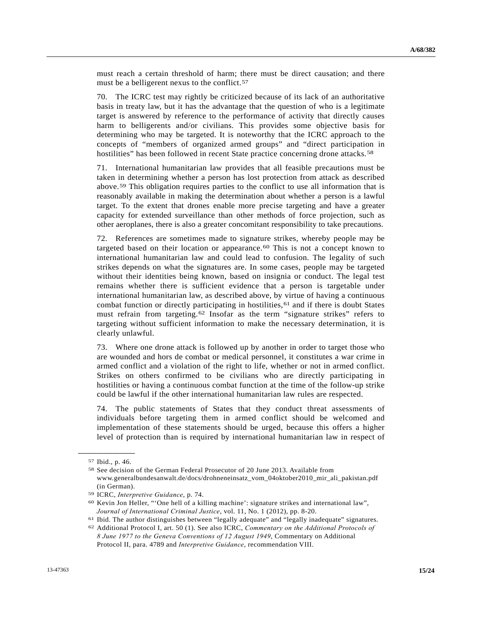must reach a certain threshold of harm; there must be direct causation; and there must be a belligerent nexus to the conflict.<sup>[57](#page-14-0)</sup>

70. The ICRC test may rightly be criticized because of its lack of an authoritative basis in treaty law, but it has the advantage that the question of who is a legitimate target is answered by reference to the performance of activity that directly causes harm to belligerents and/or civilians. This provides some objective basis for determining who may be targeted. It is noteworthy that the ICRC approach to the concepts of "members of organized armed groups" and "direct participation in hostilities" has been followed in recent State practice concerning drone attacks.<sup>[58](#page-14-1)</sup>

71. International humanitarian law provides that all feasible precautions must be taken in determining whether a person has lost protection from attack as described above.[5](#page-14-2)9 This obligation requires parties to the conflict to use all information that is reasonably available in making the determination about whether a person is a lawful target. To the extent that drones enable more precise targeting and have a greater capacity for extended surveillance than other methods of force projection, such as other aeroplanes, there is also a greater concomitant responsibility to take precautions.

72. References are sometimes made to signature strikes, whereby people may be targeted based on their location or appearance.<sup>[6](#page-14-3)0</sup> This is not a concept known to international humanitarian law and could lead to confusion. The legality of such strikes depends on what the signatures are. In some cases, people may be targeted without their identities being known, based on insignia or conduct. The legal test remains whether there is sufficient evidence that a person is targetable under international humanitarian law, as described above, by virtue of having a continuous combat function or directly participating in hostilities,  $61$  $61$  and if there is doubt States must refrain from targeting.<sup>[6](#page-14-5)2</sup> Insofar as the term "signature strikes" refers to targeting without sufficient information to make the necessary determination, it is clearly unlawful.

73. Where one drone attack is followed up by another in order to target those who are wounded and hors de combat or medical personnel, it constitutes a war crime in armed conflict and a violation of the right to life, whether or not in armed conflict. Strikes on others confirmed to be civilians who are directly participating in hostilities or having a continuous combat function at the time of the follow-up strike could be lawful if the other international humanitarian law rules are respected.

74. The public statements of States that they conduct threat assessments of individuals before targeting them in armed conflict should be welcomed and implementation of these statements should be urged, because this offers a higher level of protection than is required by international humanitarian law in respect of

<span id="page-14-1"></span><span id="page-14-0"></span>**\_\_\_\_\_\_\_\_\_\_\_\_\_\_\_\_\_\_**  57 Ibid., p. 46.

<sup>58</sup> See decision of the German Federal Prosecutor of 20 June 2013. Available from www.generalbundesanwalt.de/docs/drohneneinsatz\_vom\_04oktober2010\_mir\_ali\_pakistan.pdf (in German).

<span id="page-14-3"></span><span id="page-14-2"></span><sup>&</sup>lt;sup>59</sup> ICRC, *Interpretive Guidance*, p. 74.<br><sup>60</sup> Kevin Jon Heller, "'One hell of a killing machine': signature strikes and international law", Journal of International Criminal Justice, vol. 11, No. 1 (2012), pp. 8-20.<br><sup>61</sup> Ibid. The author distinguishes between "legally adequate" and "legally inadequate" signatures.<br><sup>62</sup> Additional Protocol I, art. 50 (1). See a

<span id="page-14-4"></span>

<span id="page-14-5"></span>*<sup>8</sup> June 1977 to the Geneva Conventions of 12 August 1949*, Commentary on Additional Protocol II, para. 4789 and *Interpretive Guidance*, recommendation VIII.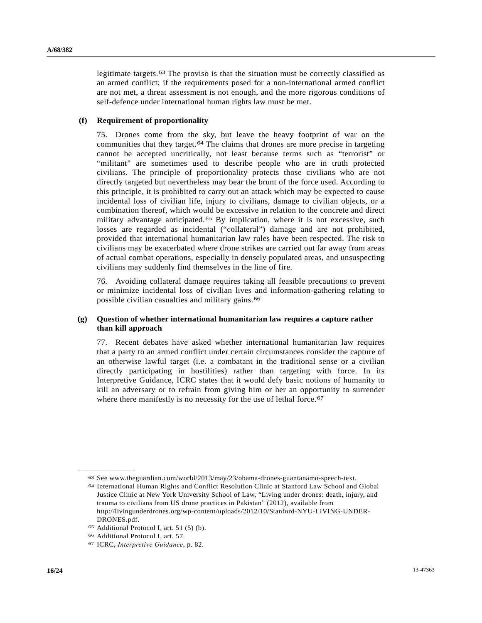legitimate targets.[63](#page-15-0) The proviso is that the situation must be correctly classified as an armed conflict; if the requirements posed for a non-international armed conflict are not met, a threat assessment is not enough, and the more rigorous conditions of self-defence under international human rights law must be met.

### **(f) Requirement of proportionality**

75. Drones come from the sky, but leave the heavy footprint of war on the communities that they target.[64](#page-15-1) The claims that drones are more precise in targeting cannot be accepted uncritically, not least because terms such as "terrorist" or "militant" are sometimes used to describe people who are in truth protected civilians. The principle of proportionality protects those civilians who are not directly targeted but nevertheless may bear the brunt of the force used. According to this principle, it is prohibited to carry out an attack which may be expected to cause incidental loss of civilian life, injury to civilians, damage to civilian objects, or a combination thereof, which would be excessive in relation to the concrete and direct military advantage anticipated.[6](#page-15-2)5 By implication, where it is not excessive, such losses are regarded as incidental ("collateral") damage and are not prohibited, provided that international humanitarian law rules have been respected. The risk to civilians may be exacerbated where drone strikes are carried out far away from areas of actual combat operations, especially in densely populated areas, and unsuspecting civilians may suddenly find themselves in the line of fire.

76. Avoiding collateral damage requires taking all feasible precautions to prevent or minimize incidental loss of civilian lives and information-gathering relating to possible civilian casualties and military gains.[66](#page-15-3)

### **(g) Question of whether international humanitarian law requires a capture rather than kill approach**

77. Recent debates have asked whether international humanitarian law requires that a party to an armed conflict under certain circumstances consider the capture of an otherwise lawful target (i.e. a combatant in the traditional sense or a civilian directly participating in hostilities) rather than targeting with force. In its Interpretive Guidance, ICRC states that it would defy basic notions of humanity to kill an adversary or to refrain from giving him or her an opportunity to surrender where there manifestly is no necessity for the use of lethal force.<sup>[67](#page-15-4)</sup>

<span id="page-15-1"></span><span id="page-15-0"></span><sup>63</sup> See www.theguardian.com/world/2013/may/23/obama-drones-guantanamo-speech-text. 64 International Human Rights and Conflict Resolution Clinic at Stanford Law School and Global

Justice Clinic at New York University School of Law, "Living under drones: death, injury, and trauma to civilians from US drone practices in Pakistan" (2012), available from http://livingunderdrones.org/wp-content/uploads/2012/10/Stanford-NYU-LIVING-UNDER-DRONES.pdf.

<span id="page-15-2"></span><sup>65</sup> Additional Protocol I, art. 51 (5) (b).

<span id="page-15-3"></span><sup>66</sup> Additional Protocol I, art. 57.

<span id="page-15-4"></span><sup>67</sup> ICRC, *Interpretive Guidance*, p. 82.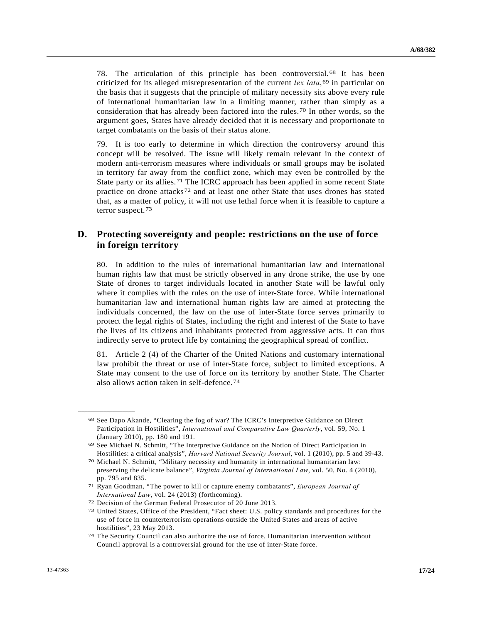78. The articulation of this principle has been controversial.[68](#page-16-0) It has been criticized for its alleged misrepresentation of the current  $lex$  *lata*,<sup>[69](#page-16-1)</sup> in particular on the basis that it suggests that the principle of military necessity sits above every rule of international humanitarian law in a limiting manner, rather than simply as a consideration that has already been factored into the rules.[70](#page-16-2) In other words, so the argument goes, States have already decided that it is necessary and proportionate to target combatants on the basis of their status alone.

79. It is too early to determine in which direction the controversy around this concept will be resolved. The issue will likely remain relevant in the context of modern anti-terrorism measures where individuals or small groups may be isolated in territory far away from the conflict zone, which may even be controlled by the State party or its allies.[71](#page-16-3) The ICRC approach has been applied in some recent State practice on drone attacks[7](#page-16-4)2 and at least one other State that uses drones has stated that, as a matter of policy, it will not use lethal force when it is feasible to capture a terror suspect.[7](#page-16-5)3

## **D. Protecting sovereignty and people: restrictions on the use of force in foreign territory**

80. In addition to the rules of international humanitarian law and international human rights law that must be strictly observed in any drone strike, the use by one State of drones to target individuals located in another State will be lawful only where it complies with the rules on the use of inter-State force. While international humanitarian law and international human rights law are aimed at protecting the individuals concerned, the law on the use of inter-State force serves primarily to protect the legal rights of States, including the right and interest of the State to have the lives of its citizens and inhabitants protected from aggressive acts. It can thus indirectly serve to protect life by containing the geographical spread of conflict.

81. Article 2 (4) of the Charter of the United Nations and customary international law prohibit the threat or use of inter-State force, subject to limited exceptions. A State may consent to the use of force on its territory by another State. The Charter also allows action taken in self-defence.[74](#page-16-6)

<span id="page-16-0"></span><sup>68</sup> See Dapo Akande, "Clearing the fog of war? The ICRC's Interpretive Guidance on Direct Participation in Hostilities", *International and Comparative Law Quarterly*, vol. 59, No. 1 (January 2010), pp. 180 and 191.

<span id="page-16-1"></span><sup>69</sup> See Michael N. Schmitt, "The Interpretive Guidance on the Notion of Direct Participation in Hostilities: a critical analysis", *Harvard National Security Journal*, vol. 1 (2010), pp. 5 and 39-43. 70 Michael N. Schmitt, "Military necessity and humanity in international humanitarian law:

<span id="page-16-2"></span>preserving the delicate balance", *Virginia Journal of International Law*, vol. 50, No. 4 (2010), pp. 795 and 835.

<span id="page-16-3"></span><sup>71</sup> Ryan Goodman, "The power to kill or capture enemy combatants", *European Journal of* 

<span id="page-16-5"></span>

<span id="page-16-4"></span>*International Law*, vol. 24 (2013) (forthcoming).<br><sup>72</sup> Decision of the German Federal Prosecutor of 20 June 2013.<br><sup>73</sup> United States, Office of the President, "Fact sheet: U.S. policy standards and procedures for the use of force in counterterrorism operations outside the United States and areas of active hostilities", 23 May 2013.

<span id="page-16-6"></span><sup>74</sup> The Security Council can also authorize the use of force. Humanitarian intervention without Council approval is a controversial ground for the use of inter-State force.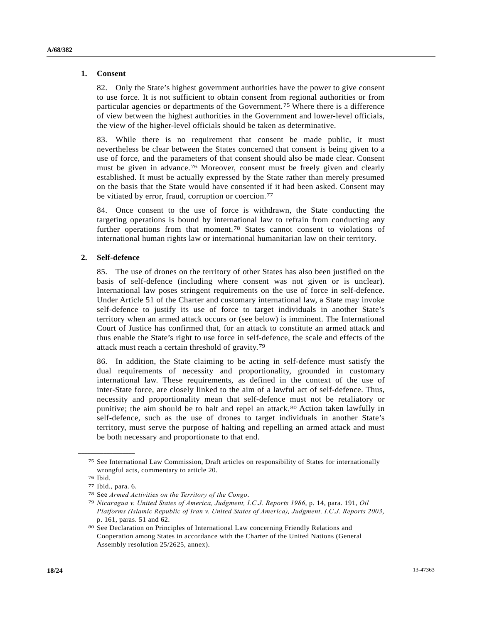### **1. Consent**

82. Only the State's highest government authorities have the power to give consent to use force. It is not sufficient to obtain consent from regional authorities or from particular agencies or departments of the Government.[7](#page-17-0)5 Where there is a difference of view between the highest authorities in the Government and lower-level officials, the view of the higher-level officials should be taken as determinative.

83. While there is no requirement that consent be made public, it must nevertheless be clear between the States concerned that consent is being given to a use of force, and the parameters of that consent should also be made clear. Consent must be given in advance.[76](#page-17-1) Moreover, consent must be freely given and clearly established. It must be actually expressed by the State rather than merely presumed on the basis that the State would have consented if it had been asked. Consent may be vitiated by error, fraud, corruption or coercion.<sup>[7](#page-17-2)7</sup>

84. Once consent to the use of force is withdrawn, the State conducting the targeting operations is bound by international law to refrain from conducting any further operations from that moment.[7](#page-17-3)8 States cannot consent to violations of international human rights law or international humanitarian law on their territory.

### **2. Self-defence**

85. The use of drones on the territory of other States has also been justified on the basis of self-defence (including where consent was not given or is unclear). International law poses stringent requirements on the use of force in self-defence. Under Article 51 of the Charter and customary international law, a State may invoke self-defence to justify its use of force to target individuals in another State's territory when an armed attack occurs or (see below) is imminent. The International Court of Justice has confirmed that, for an attack to constitute an armed attack and thus enable the State's right to use force in self-defence, the scale and effects of the attack must reach a certain threshold of gravity.[79](#page-17-4)

86. In addition, the State claiming to be acting in self-defence must satisfy the dual requirements of necessity and proportionality, grounded in customary international law. These requirements, as defined in the context of the use of inter-State force, are closely linked to the aim of a lawful act of self-defence. Thus, necessity and proportionality mean that self-defence must not be retaliatory or punitive; the aim should be to halt and repel an attack.[80](#page-17-5) Action taken lawfully in self-defence, such as the use of drones to target individuals in another State's territory, must serve the purpose of halting and repelling an armed attack and must be both necessary and proportionate to that end.

<span id="page-17-0"></span><sup>75</sup> See International Law Commission, Draft articles on responsibility of States for internationally wrongful acts, commentary to article 20.

<span id="page-17-1"></span><sup>76</sup> Ibid.

<sup>77</sup> Ibid., para. 6.

<span id="page-17-4"></span><span id="page-17-3"></span><span id="page-17-2"></span>

<sup>78</sup> See *Armed Activities on the Territory of the Congo*. 79 *Nicaragua v. United States of America, Judgment, I.C.J. Reports 1986*, p. 14, para. 191, *Oil Platforms (Islamic Republic of Iran v. United States of America), Judgment, I.C.J. Reports 2003*, p. 161, paras. 51 and 62.

<span id="page-17-5"></span><sup>80</sup> See Declaration on Principles of International Law concerning Friendly Relations and Cooperation among States in accordance with the Charter of the United Nations (General Assembly resolution 25/2625, annex).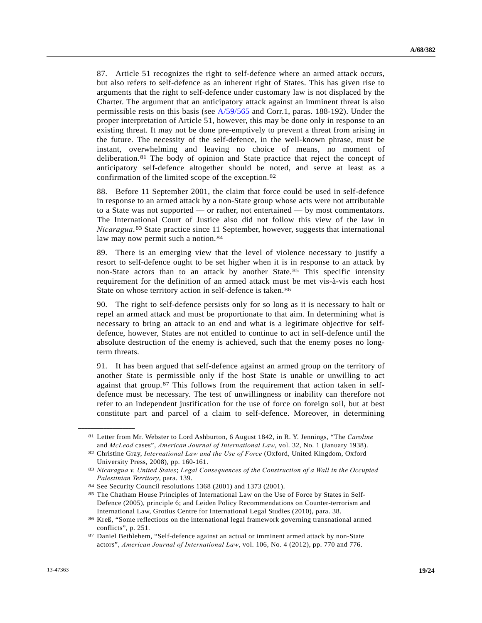87. Article 51 recognizes the right to self-defence where an armed attack occurs, but also refers to self-defence as an inherent right of States. This has given rise to arguments that the right to self-defence under customary law is not displaced by the Charter. The argument that an anticipatory attack against an imminent threat is also permissible rests on this basis (see [A/59/565](http://undocs.org/A/59/565) and Corr.1, paras. 188-192). Under the proper interpretation of Article 51, however, this may be done only in response to an existing threat. It may not be done pre-emptively to prevent a threat from arising in the future. The necessity of the self-defence, in the well-known phrase, must be instant, overwhelming and leaving no choice of means, no moment of deliberation.[8](#page-18-0)1 The body of opinion and State practice that reject the concept of anticipatory self-defence altogether should be noted, and serve at least as a confirmation of the limited scope of the exception.[82](#page-18-1)

88. Before 11 September 2001, the claim that force could be used in self-defence in response to an armed attack by a non-State group whose acts were not attributable to a State was not supported — or rather, not entertained — by most commentators. The International Court of Justice also did not follow this view of the law in *Nicaragua*.[8](#page-18-2)3 State practice since 11 September, however, suggests that international law may now permit such a notion.<sup>[8](#page-18-3)4</sup>

89. There is an emerging view that the level of violence necessary to justify a resort to self-defence ought to be set higher when it is in response to an attack by non-State actors than to an attack by another State.[85](#page-18-4) This specific intensity requirement for the definition of an armed attack must be met vis-à-vis each host State on whose territory action in self-defence is taken.<sup>[86](#page-18-5)</sup>

90. The right to self-defence persists only for so long as it is necessary to halt or repel an armed attack and must be proportionate to that aim. In determining what is necessary to bring an attack to an end and what is a legitimate objective for selfdefence, however, States are not entitled to continue to act in self-defence until the absolute destruction of the enemy is achieved, such that the enemy poses no longterm threats.

91. It has been argued that self-defence against an armed group on the territory of another State is permissible only if the host State is unable or unwilling to act against that group.[87](#page-18-6) This follows from the requirement that action taken in selfdefence must be necessary. The test of unwillingness or inability can therefore not refer to an independent justification for the use of force on foreign soil, but at best constitute part and parcel of a claim to self-defence. Moreover, in determining

<span id="page-18-1"></span><span id="page-18-0"></span><sup>81</sup> Letter from Mr. Webster to Lord Ashburton, 6 August 1842, in R. Y. Jennings, "The *Caroline*  and *McLeod* cases", *American Journal of International Law*, vol. 32, No. 1 (January 1938). 82 Christine Gray, *International Law and the Use of Force* (Oxford, United Kingdom, Oxford

University Press, 2008), pp. 160-161.

<span id="page-18-2"></span><sup>83</sup> *Nicaragua v. United States*; *Legal Consequences of the Construction of a Wall in the Occupied Palestinian Territory*, para. 139. 84 See Security Council resolutions 1368 (2001) and 1373 (2001).

<span id="page-18-4"></span><span id="page-18-3"></span><sup>85</sup> The Chatham House Principles of International Law on the Use of Force by States in Self-Defence (2005), principle 6; and Leiden Policy Recommendations on Counter-terrorism and International Law, Grotius Centre for International Legal Studies (2010), para. 38.

<span id="page-18-5"></span><sup>86</sup> Kreß, "Some reflections on the international legal framework governing transnational armed conflicts", p. 251.

<span id="page-18-6"></span><sup>87</sup> Daniel Bethlehem, "Self-defence against an actual or imminent armed attack by non-State actors", *American Journal of International Law*, vol. 106, No. 4 (2012), pp. 770 and 776.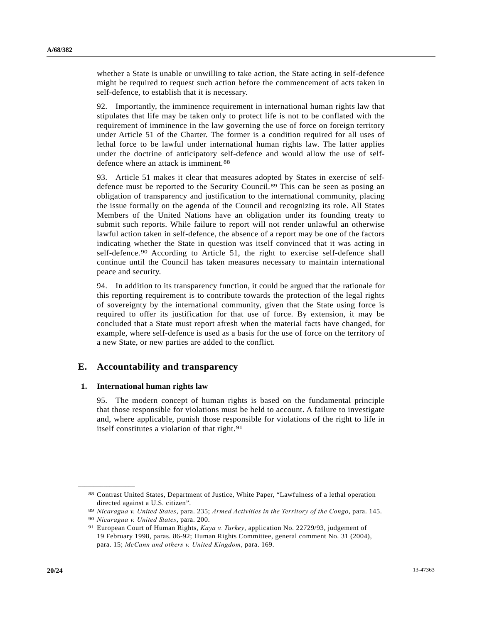whether a State is unable or unwilling to take action, the State acting in self-defence might be required to request such action before the commencement of acts taken in self-defence, to establish that it is necessary.

92. Importantly, the imminence requirement in international human rights law that stipulates that life may be taken only to protect life is not to be conflated with the requirement of imminence in the law governing the use of force on foreign territory under Article 51 of the Charter. The former is a condition required for all uses of lethal force to be lawful under international human rights law. The latter applies under the doctrine of anticipatory self-defence and would allow the use of self-defence where an attack is imminent.<sup>[8](#page-19-0)8</sup>

93. Article 51 makes it clear that measures adopted by States in exercise of selfdefence must be reported to the Security Council.[8](#page-19-1)9 This can be seen as posing an obligation of transparency and justification to the international community, placing the issue formally on the agenda of the Council and recognizing its role. All States Members of the United Nations have an obligation under its founding treaty to submit such reports. While failure to report will not render unlawful an otherwise lawful action taken in self-defence, the absence of a report may be one of the factors indicating whether the State in question was itself convinced that it was acting in self-defence.[9](#page-19-2)0 According to Article 51, the right to exercise self-defence shall continue until the Council has taken measures necessary to maintain international peace and security.

94. In addition to its transparency function, it could be argued that the rationale for this reporting requirement is to contribute towards the protection of the legal rights of sovereignty by the international community, given that the State using force is required to offer its justification for that use of force. By extension, it may be concluded that a State must report afresh when the material facts have changed, for example, where self-defence is used as a basis for the use of force on the territory of a new State, or new parties are added to the conflict.

## **E. Accountability and transparency**

#### **1. International human rights law**

95. The modern concept of human rights is based on the fundamental principle that those responsible for violations must be held to account. A failure to investigate and, where applicable, punish those responsible for violations of the right to life in itself constitutes a violation of that right.<sup>[9](#page-19-3)1</sup>

<span id="page-19-0"></span><sup>88</sup> Contrast United States, Department of Justice, White Paper, "Lawfulness of a lethal operation directed against a U.S. citizen".

<span id="page-19-1"></span><sup>&</sup>lt;sup>89</sup> Nicaragua v. United States, para. 235; Armed Activities in the Territory of the Congo, para. 145.<br><sup>90</sup> Nicaragua v. United States, para. 200.<br><sup>91</sup> European Court of Human Rights, *Kaya v. Turkey*, application No. 2272

<span id="page-19-2"></span>

<span id="page-19-3"></span><sup>19</sup> February 1998, paras. 86-92; Human Rights Committee, general comment No. 31 (2004), para. 15; *McCann and others v. United Kingdom*, para. 169.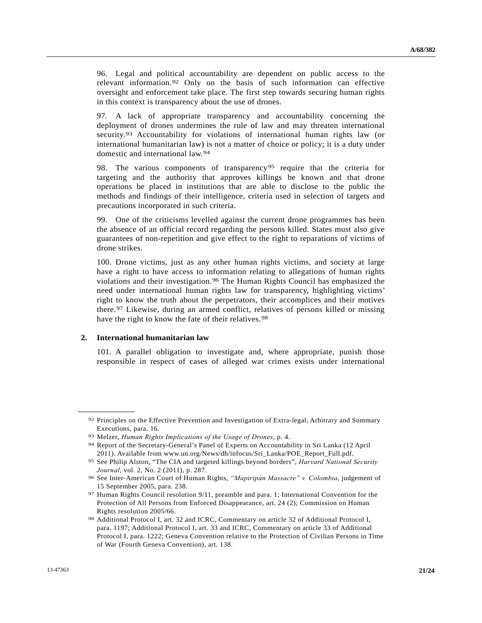96. Legal and political accountability are dependent on public access to the relevant information.[9](#page-20-0)2 Only on the basis of such information can effective oversight and enforcement take place. The first step towards securing human rights in this context is transparency about the use of drones.

97. A lack of appropriate transparency and accountability concerning the deployment of drones undermines the rule of law and may threaten international security.[9](#page-20-1)3 Accountability for violations of international human rights law (or international humanitarian law) is not a matter of choice or policy; it is a duty under domestic and international law.[94](#page-20-2)

98. The various components of transparency[95](#page-20-3) require that the criteria for targeting and the authority that approves killings be known and that drone operations be placed in institutions that are able to disclose to the public the methods and findings of their intelligence, criteria used in selection of targets and precautions incorporated in such criteria.

99. One of the criticisms levelled against the current drone programmes has been the absence of an official record regarding the persons killed. States must also give guarantees of non-repetition and give effect to the right to reparations of victims of drone strikes.

100. Drone victims, just as any other human rights victims, and society at large have a right to have access to information relating to allegations of human rights violations and their investigation.[9](#page-20-4)6 The Human Rights Council has emphasized the need under international human rights law for transparency, highlighting victims' right to know the truth about the perpetrators, their accomplices and their motives there.[9](#page-20-5)7 Likewise, during an armed conflict, relatives of persons killed or missing have the right to know the fate of their relatives.<sup>[9](#page-20-6)8</sup>

#### **2. International humanitarian law**

<span id="page-20-2"></span><span id="page-20-1"></span><span id="page-20-0"></span>**\_\_\_\_\_\_\_\_\_\_\_\_\_\_\_\_\_\_** 

101. A parallel obligation to investigate and, where appropriate, punish those responsible in respect of cases of alleged war crimes exists under international

<sup>92</sup> Principles on the Effective Prevention and Investigation of Extra-legal, Arbitrary and Summary Executions, para. 16.

<sup>93</sup> Melzer, *Human Rights Implications of the Usage of Drones*, p. 4. 94 Report of the Secretary-General's Panel of Experts on Accountability in Sri Lanka (12 April 2011). Available from www.un.org/News/dh/infocus/Sri\_Lanka/POE\_Report\_Full.pdf.

<span id="page-20-3"></span><sup>95</sup> See Philip Alston, "The CIA and targeted killings beyond borders", *Harvard National Security Journal*, vol. 2, No. 2 (2011), p. 287.<br><sup>96</sup> See Inter-American Court of Human Rights, *"Mapiripán Massacre" v. Colombia*, judgement of

<span id="page-20-4"></span><sup>15</sup> September 2005, para. 238.

<span id="page-20-5"></span><sup>97</sup> Human Rights Council resolution 9/11, preamble and para. 1; International Convention for the Protection of All Persons from Enforced Disappearance, art. 24 (2); Commission on Human Rights resolution 2005/66.

<span id="page-20-6"></span><sup>98</sup> Additional Protocol I, art. 32 and ICRC, Commentary on article 32 of Additional Protocol I, para. 1197; Additional Protocol I, art. 33 and ICRC, Commentary on article 33 of Additional Protocol I, para. 1222; Geneva Convention relative to the Protection of Civilian Persons in Time of War (Fourth Geneva Convention), art. 138.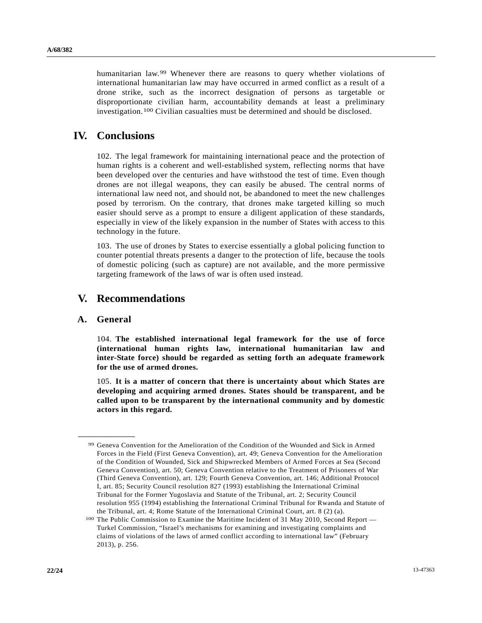humanitarian law.[9](#page-21-0)9 Whenever there are reasons to query whether violations of international humanitarian law may have occurred in armed conflict as a result of a drone strike, such as the incorrect designation of persons as targetable or disproportionate civilian harm, accountability demands at least a preliminary investigation.[1](#page-21-1)00 Civilian casualties must be determined and should be disclosed.

# **IV. Conclusions**

102. The legal framework for maintaining international peace and the protection of human rights is a coherent and well-established system, reflecting norms that have been developed over the centuries and have withstood the test of time. Even though drones are not illegal weapons, they can easily be abused. The central norms of international law need not, and should not, be abandoned to meet the new challenges posed by terrorism. On the contrary, that drones make targeted killing so much easier should serve as a prompt to ensure a diligent application of these standards, especially in view of the likely expansion in the number of States with access to this technology in the future.

103. The use of drones by States to exercise essentially a global policing function to counter potential threats presents a danger to the protection of life, because the tools of domestic policing (such as capture) are not available, and the more permissive targeting framework of the laws of war is often used instead.

# **V. Recommendations**

### **A. General**

<span id="page-21-0"></span>**\_\_\_\_\_\_\_\_\_\_\_\_\_\_\_\_\_\_** 

104. **The established international legal framework for the use of force (international human rights law, international humanitarian law and inter-State force) should be regarded as setting forth an adequate framework for the use of armed drones.**

105. **It is a matter of concern that there is uncertainty about which States are developing and acquiring armed drones. States should be transparent, and be called upon to be transparent by the international community and by domestic actors in this regard.**

<sup>99</sup> Geneva Convention for the Amelioration of the Condition of the Wounded and Sick in Armed Forces in the Field (First Geneva Convention), art. 49; Geneva Convention for the Amelioration of the Condition of Wounded, Sick and Shipwrecked Members of Armed Forces at Sea (Second Geneva Convention), art. 50; Geneva Convention relative to the Treatment of Prisoners of War (Third Geneva Convention), art. 129; Fourth Geneva Convention, art. 146; Additional Protocol I, art. 85; Security Council resolution 827 (1993) establishing the International Criminal Tribunal for the Former Yugoslavia and Statute of the Tribunal, art. 2; Security Council resolution 955 (1994) establishing the International Criminal Tribunal for Rwanda and Statute of the Tribunal, art. 4; Rome Statute of the International Criminal Court, art. 8 (2) (a).

<span id="page-21-1"></span><sup>&</sup>lt;sup>100</sup> The Public Commission to Examine the Maritime Incident of 31 May 2010, Second Report — Turkel Commission, "Israel's mechanisms for examining and investigating complaints and claims of violations of the laws of armed conflict according to international law" (February 2013), p. 256.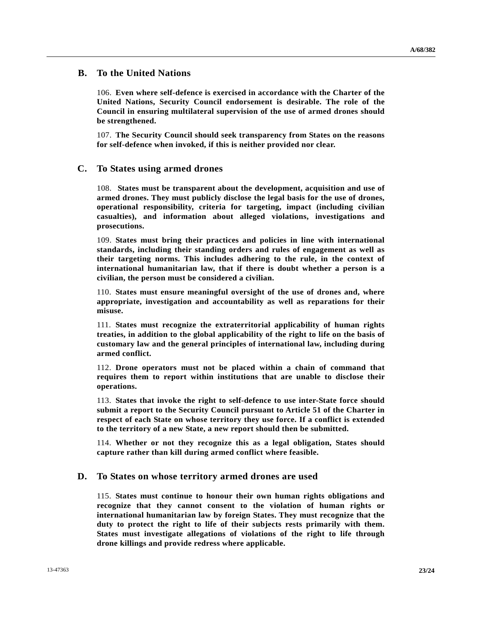## **B. To the United Nations**

106. **Even where self-defence is exercised in accordance with the Charter of the United Nations, Security Council endorsement is desirable. The role of the Council in ensuring multilateral supervision of the use of armed drones should be strengthened.**

107. **The Security Council should seek transparency from States on the reasons for self-defence when invoked, if this is neither provided nor clear.** 

## **C. To States using armed drones**

108. **States must be transparent about the development, acquisition and use of armed drones. They must publicly disclose the legal basis for the use of drones, operational responsibility, criteria for targeting, impact (including civilian casualties), and information about alleged violations, investigations and prosecutions.**

109. **States must bring their practices and policies in line with international standards, including their standing orders and rules of engagement as well as their targeting norms. This includes adhering to the rule, in the context of international humanitarian law, that if there is doubt whether a person is a civilian, the person must be considered a civilian.**

110. **States must ensure meaningful oversight of the use of drones and, where appropriate, investigation and accountability as well as reparations for their misuse.**

111. **States must recognize the extraterritorial applicability of human rights treaties, in addition to the global applicability of the right to life on the basis of customary law and the general principles of international law, including during armed conflict.**

112. **Drone operators must not be placed within a chain of command that requires them to report within institutions that are unable to disclose their operations.**

113. **States that invoke the right to self-defence to use inter-State force should submit a report to the Security Council pursuant to Article 51 of the Charter in respect of each State on whose territory they use force. If a conflict is extended to the territory of a new State, a new report should then be submitted.**

114. **Whether or not they recognize this as a legal obligation, States should capture rather than kill during armed conflict where feasible.** 

## **D. To States on whose territory armed drones are used**

115. **States must continue to honour their own human rights obligations and recognize that they cannot consent to the violation of human rights or international humanitarian law by foreign States. They must recognize that the duty to protect the right to life of their subjects rests primarily with them. States must investigate allegations of violations of the right to life through drone killings and provide redress where applicable.**